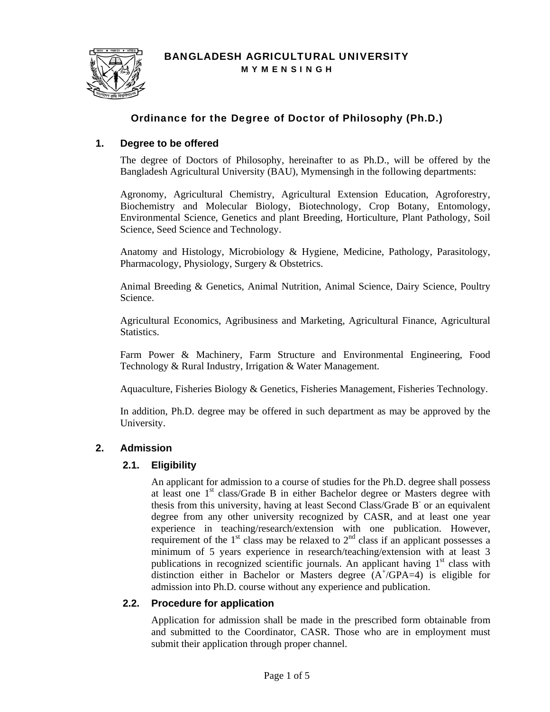

# Ordinance for the Degree of Doctor of Philosophy (Ph.D.)

### **1. Degree to be offered**

The degree of Doctors of Philosophy, hereinafter to as Ph.D., will be offered by the Bangladesh Agricultural University (BAU), Mymensingh in the following departments:

Agronomy, Agricultural Chemistry, Agricultural Extension Education, Agroforestry, Biochemistry and Molecular Biology, Biotechnology, Crop Botany, Entomology, Environmental Science, Genetics and plant Breeding, Horticulture, Plant Pathology, Soil Science, Seed Science and Technology.

Anatomy and Histology, Microbiology & Hygiene, Medicine, Pathology, Parasitology, Pharmacology, Physiology, Surgery & Obstetrics.

Animal Breeding & Genetics, Animal Nutrition, Animal Science, Dairy Science, Poultry Science.

Agricultural Economics, Agribusiness and Marketing, Agricultural Finance, Agricultural Statistics.

Farm Power & Machinery, Farm Structure and Environmental Engineering, Food Technology & Rural Industry, Irrigation & Water Management.

Aquaculture, Fisheries Biology & Genetics, Fisheries Management, Fisheries Technology.

In addition, Ph.D. degree may be offered in such department as may be approved by the University.

### **2. Admission**

### **2.1. Eligibility**

An applicant for admission to a course of studies for the Ph.D. degree shall possess at least one 1<sup>st</sup> class/Grade B in either Bachelor degree or Masters degree with thesis from this university, having at least Second Class/Grade B<sup>-</sup> or an equivalent degree from any other university recognized by CASR, and at least one year experience in teaching/research/extension with one publication. However, requirement of the  $1<sup>st</sup>$  class may be relaxed to  $2<sup>nd</sup>$  class if an applicant possesses a minimum of 5 years experience in research/teaching/extension with at least 3 publications in recognized scientific journals. An applicant having  $1<sup>st</sup>$  class with distinction either in Bachelor or Masters degree  $(A^+/GPA=4)$  is eligible for admission into Ph.D. course without any experience and publication.

#### **2.2. Procedure for application**

Application for admission shall be made in the prescribed form obtainable from and submitted to the Coordinator, CASR. Those who are in employment must submit their application through proper channel.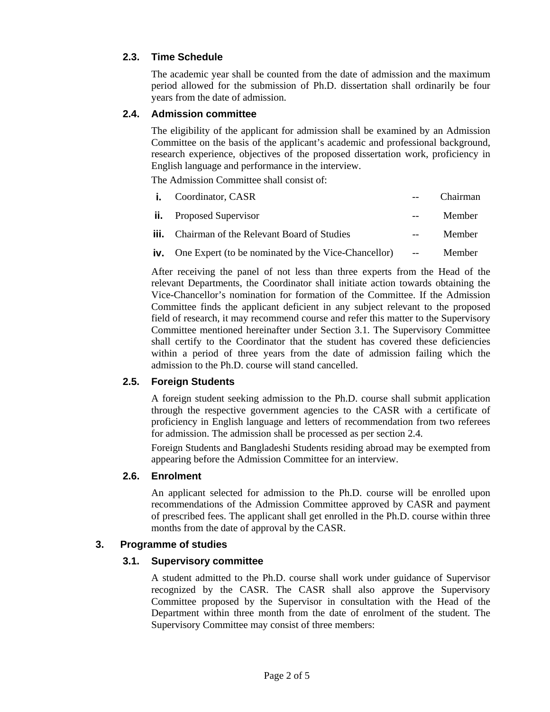# **2.3. Time Schedule**

The academic year shall be counted from the date of admission and the maximum period allowed for the submission of Ph.D. dissertation shall ordinarily be four years from the date of admission.

### **2.4. Admission committee**

The eligibility of the applicant for admission shall be examined by an Admission Committee on the basis of the applicant's academic and professional background, research experience, objectives of the proposed dissertation work, proficiency in English language and performance in the interview.

The Admission Committee shall consist of:

|      | <b>i.</b> Coordinator, CASR                                       |     | Chairman |
|------|-------------------------------------------------------------------|-----|----------|
|      | <b>ii.</b> Proposed Supervisor                                    |     | Member   |
| iii. | Chairman of the Relevant Board of Studies                         | $-$ | Member   |
|      | <b>iv.</b> One Expert (to be nominated by the Vice-Chancellor) -- |     | Member   |

After receiving the panel of not less than three experts from the Head of the relevant Departments, the Coordinator shall initiate action towards obtaining the Vice-Chancellor's nomination for formation of the Committee. If the Admission Committee finds the applicant deficient in any subject relevant to the proposed field of research, it may recommend course and refer this matter to the Supervisory Committee mentioned hereinafter under Section 3.1. The Supervisory Committee shall certify to the Coordinator that the student has covered these deficiencies within a period of three years from the date of admission failing which the admission to the Ph.D. course will stand cancelled.

### **2.5. Foreign Students**

A foreign student seeking admission to the Ph.D. course shall submit application through the respective government agencies to the CASR with a certificate of proficiency in English language and letters of recommendation from two referees for admission. The admission shall be processed as per section 2.4.

Foreign Students and Bangladeshi Students residing abroad may be exempted from appearing before the Admission Committee for an interview.

### **2.6. Enrolment**

An applicant selected for admission to the Ph.D. course will be enrolled upon recommendations of the Admission Committee approved by CASR and payment of prescribed fees. The applicant shall get enrolled in the Ph.D. course within three months from the date of approval by the CASR.

### **3. Programme of studies**

### **3.1. Supervisory committee**

A student admitted to the Ph.D. course shall work under guidance of Supervisor recognized by the CASR. The CASR shall also approve the Supervisory Committee proposed by the Supervisor in consultation with the Head of the Department within three month from the date of enrolment of the student. The Supervisory Committee may consist of three members: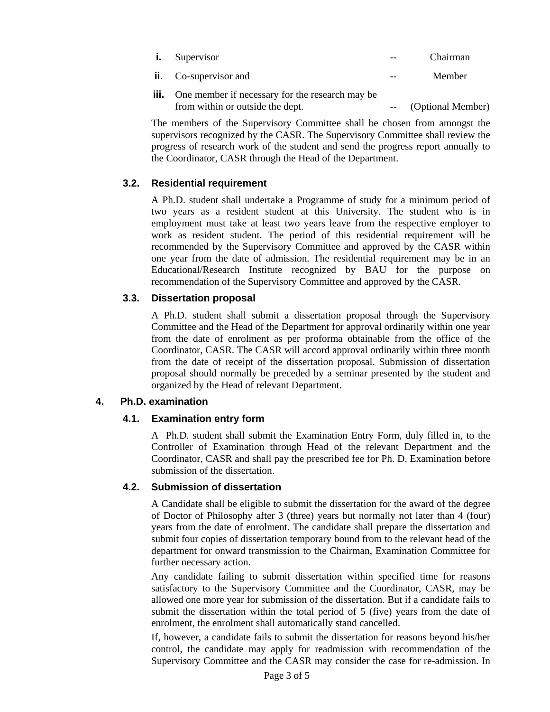| <b>i.</b> Supervisor                                                                            | Chairman             |
|-------------------------------------------------------------------------------------------------|----------------------|
| <b>ii.</b> Co-supervisor and                                                                    | Member               |
| <b>iii.</b> One member if necessary for the research may be<br>from within or outside the dept. | -- (Optional Member) |

The members of the Supervisory Committee shall be chosen from amongst the supervisors recognized by the CASR. The Supervisory Committee shall review the progress of research work of the student and send the progress report annually to the Coordinator, CASR through the Head of the Department.

### **3.2. Residential requirement**

A Ph.D. student shall undertake a Programme of study for a minimum period of two years as a resident student at this University. The student who is in employment must take at least two years leave from the respective employer to work as resident student. The period of this residential requirement will be recommended by the Supervisory Committee and approved by the CASR within one year from the date of admission. The residential requirement may be in an Educational/Research Institute recognized by BAU for the purpose on recommendation of the Supervisory Committee and approved by the CASR.

#### **3.3. Dissertation proposal**

A Ph.D. student shall submit a dissertation proposal through the Supervisory Committee and the Head of the Department for approval ordinarily within one year from the date of enrolment as per proforma obtainable from the office of the Coordinator, CASR. The CASR will accord approval ordinarily within three month from the date of receipt of the dissertation proposal. Submission of dissertation proposal should normally be preceded by a seminar presented by the student and organized by the Head of relevant Department.

### **4. Ph.D. examination**

### **4.1. Examination entry form**

A Ph.D. student shall submit the Examination Entry Form, duly filled in, to the Controller of Examination through Head of the relevant Department and the Coordinator, CASR and shall pay the prescribed fee for Ph. D. Examination before submission of the dissertation.

#### **4.2. Submission of dissertation**

A Candidate shall be eligible to submit the dissertation for the award of the degree of Doctor of Philosophy after 3 (three) years but normally not later than 4 (four) years from the date of enrolment. The candidate shall prepare the dissertation and submit four copies of dissertation temporary bound from to the relevant head of the department for onward transmission to the Chairman, Examination Committee for further necessary action.

Any candidate failing to submit dissertation within specified time for reasons satisfactory to the Supervisory Committee and the Coordinator, CASR, may be allowed one more year for submission of the dissertation. But if a candidate fails to submit the dissertation within the total period of 5 (five) years from the date of enrolment, the enrolment shall automatically stand cancelled.

If, however, a candidate fails to submit the dissertation for reasons beyond his/her control, the candidate may apply for readmission with recommendation of the Supervisory Committee and the CASR may consider the case for re-admission. In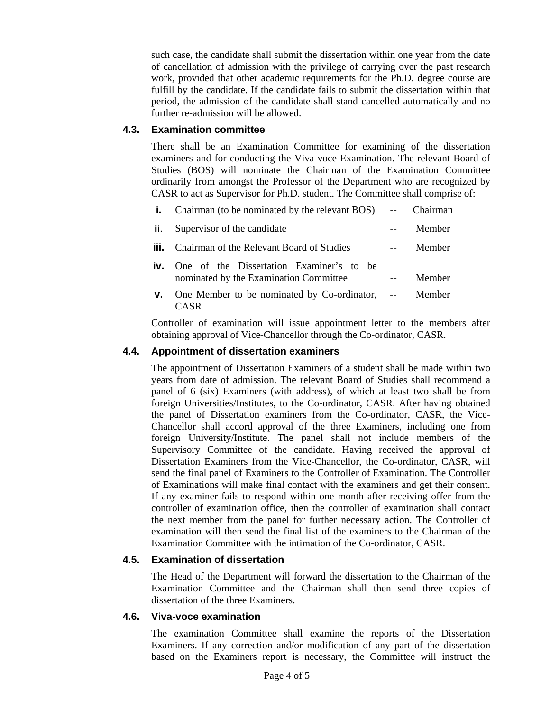such case, the candidate shall submit the dissertation within one year from the date of cancellation of admission with the privilege of carrying over the past research work, provided that other academic requirements for the Ph.D. degree course are fulfill by the candidate. If the candidate fails to submit the dissertation within that period, the admission of the candidate shall stand cancelled automatically and no further re-admission will be allowed.

### **4.3. Examination committee**

There shall be an Examination Committee for examining of the dissertation examiners and for conducting the Viva-voce Examination. The relevant Board of Studies (BOS) will nominate the Chairman of the Examination Committee ordinarily from amongst the Professor of the Department who are recognized by CASR to act as Supervisor for Ph.D. student. The Committee shall comprise of:

|     | Chairman (to be nominated by the relevant BOS) -- Chairman                         |        |
|-----|------------------------------------------------------------------------------------|--------|
| II. | Supervisor of the candidate                                                        | Member |
| Ш.  | Chairman of the Relevant Board of Studies                                          | Member |
| İV. | One of the Dissertation Examiner's to be<br>nominated by the Examination Committee | Member |
| v.  | One Member to be nominated by Co-ordinator, -<br>CASR                              | Member |

Controller of examination will issue appointment letter to the members after obtaining approval of Vice-Chancellor through the Co-ordinator, CASR.

#### **4.4. Appointment of dissertation examiners**

The appointment of Dissertation Examiners of a student shall be made within two years from date of admission. The relevant Board of Studies shall recommend a panel of 6 (six) Examiners (with address), of which at least two shall be from foreign Universities/Institutes, to the Co-ordinator, CASR. After having obtained the panel of Dissertation examiners from the Co-ordinator, CASR, the Vice-Chancellor shall accord approval of the three Examiners, including one from foreign University/Institute. The panel shall not include members of the Supervisory Committee of the candidate. Having received the approval of Dissertation Examiners from the Vice-Chancellor, the Co-ordinator, CASR, will send the final panel of Examiners to the Controller of Examination. The Controller of Examinations will make final contact with the examiners and get their consent. If any examiner fails to respond within one month after receiving offer from the controller of examination office, then the controller of examination shall contact the next member from the panel for further necessary action. The Controller of examination will then send the final list of the examiners to the Chairman of the Examination Committee with the intimation of the Co-ordinator, CASR.

#### **4.5. Examination of dissertation**

The Head of the Department will forward the dissertation to the Chairman of the Examination Committee and the Chairman shall then send three copies of dissertation of the three Examiners.

### **4.6. Viva-voce examination**

The examination Committee shall examine the reports of the Dissertation Examiners. If any correction and/or modification of any part of the dissertation based on the Examiners report is necessary, the Committee will instruct the